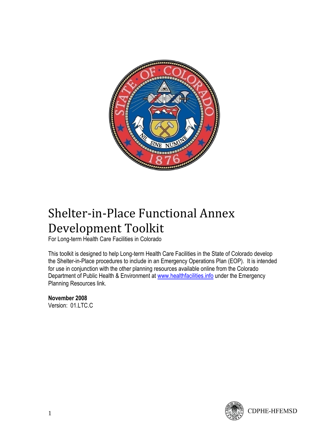

# Shelter-in-Place Functional Annex Development Toolkit

For Long-term Health Care Facilities in Colorado

This toolkit is designed to help Long-term Health Care Facilities in the State of Colorado develop the Shelter-in-Place procedures to include in an Emergency Operations Plan (EOP). It is intended for use in conjunction with the other planning resources available online from the Colorado Department of Public Health & Environment at [www.healthfacilities.info](http://www.healthfacilities.info/) under the Emergency Planning Resources link.

**November 2008** Version: 01.LTC.C

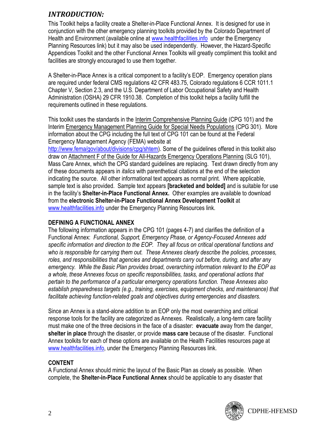# *INTRODUCTION:*

This Toolkit helps a facility create a Shelter-in-Place Functional Annex. It is designed for use in conjunction with the other emergency planning toolkits provided by the Colorado Department of Health and Environment (available online at [www.healthfacilities.info](http://www.healthfacilities.info/) under the Emergency Planning Resources link) but it may also be used independently. However, the Hazard-Specific Appendices Toolkit and the other Functional Annex Toolkits will greatly compliment this toolkit and facilities are strongly encouraged to use them together.

A Shelter-in-Place Annex is a critical component to a facility"s EOP. Emergency operation plans are required under federal CMS regulations 42 CFR 483.75, Colorado regulations 6 CCR 1011.1 Chapter V, Section 2.3, and the U.S. Department of Labor Occupational Safety and Health Administration (OSHA) 29 CFR 1910.38. Completion of this toolkit helps a facility fulfill the requirements outlined in these regulations.

This toolkit uses the standards in the Interim Comprehensive Planning Guide (CPG 101) and the Interim Emergency Management Planning Guide for Special Needs Populations (CPG 301). More information about the CPG including the full text of CPG 101 can be found at the Federal Emergency Management Agency (FEMA) website at

[http://www.fema/gov/about/divisions/cpg/shtem\)](http://www.fema/gov/about/divisions/cpg/shtem). Some of the guidelines offered in this toolkit also draw on Attachment F of the Guide for All-Hazards Emergency Operations Planning (SLG 101), Mass Care Annex, which the CPG standard guidelines are replacing. Text drawn directly from any of these documents appears in *italics* with parenthetical citations at the end of the selection indicating the source. All other informational text appears as normal print. Where applicable, sample text is also provided. Sample text appears **[bracketed and bolded]** and is suitable for use in the facility"s **Shelter-in-Place Functional Annex.** Other examples are available to download from the **electronic Shelter-in-Place Functional Annex Development Toolkit** at [www.healthfacilities.info](http://www.healthfacilities.info/) under the Emergency Planning Resources link.

### **DEFINING A FUNCTIONAL ANNEX**

The following information appears in the CPG 101 (pages 4-7) and clarifies the definition of a Functional Annex: *Functional, Support, Emergency Phase, or Agency-Focused Annexes add specific information and direction to the EOP. They all focus on critical operational functions and who is responsible for carrying them out. These Annexes clearly describe the policies, processes, roles, and responsibilities that agencies and departments carry out before, during, and after any emergency. While the Basic Plan provides broad, overarching information relevant to the EOP as a whole, these Annexes focus on specific responsibilities, tasks, and operational actions that pertain to the performance of a particular emergency operations function. These Annexes also establish preparedness targets (e.g., training, exercises, equipment checks, and maintenance) that facilitate achieving function-related goals and objectives during emergencies and disasters.*

Since an Annex is a stand-alone addition to an EOP only the most overarching and critical response tools for the facility are categorized as Annexes. Realistically, a long-term care facility must make one of the three decisions in the face of a disaster: **evacuate** away from the danger, **shelter in place** through the disaster, or provide **mass care** because of the disaster. Functional Annex toolkits for each of these options are available on the Health Facilities resources page at [www.healthfacilities.info,](http://www.healthfacilities.info/) under the Emergency Planning Resources link.

# **CONTENT**

A Functional Annex should mimic the layout of the Basic Plan as closely as possible. When complete, the **Shelter-in-Place Functional Annex** should be applicable to any disaster that

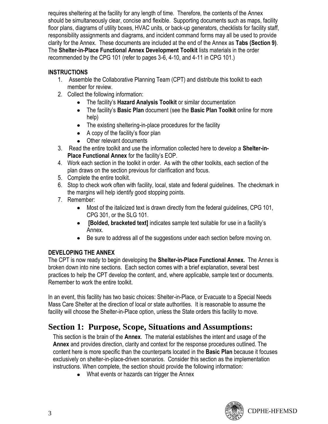requires sheltering at the facility for any length of time. Therefore, the contents of the Annex should be simultaneously clear, concise and flexible. Supporting documents such as maps, facility floor plans, diagrams of utility boxes, HVAC units, or back-up generators, checklists for facility staff, responsibility assignments and diagrams, and incident command forms may all be used to provide clarity for the Annex. These documents are included at the end of the Annex as **Tabs (Section 9)**. The **Shelter-in-Place Functional Annex Development Toolkit** lists materials in the order recommended by the CPG 101 (refer to pages 3-6, 4-10, and 4-11 in CPG 101.)

# **INSTRUCTIONS**

- 1. Assemble the Collaborative Planning Team (CPT) and distribute this toolkit to each member for review.
- 2. Collect the following information:
	- The facility"s **Hazard Analysis Toolkit** or similar documentation  $\bullet$
	- The facility"s **Basic Plan** document (see the **Basic Plan Toolkit** online for more help)
	- The existing sheltering-in-place procedures for the facility
	- $\bullet$  A copy of the facility's floor plan
	- Other relevant documents
- 3. Read the entire toolkit and use the information collected here to develop a **Shelter-in-Place Functional Annex** for the facility"s EOP.
- 4. Work each section in the toolkit in order. As with the other toolkits, each section of the plan draws on the section previous for clarification and focus.
- 5. Complete the entire toolkit.
- 6. Stop to check work often with facility, local, state and federal guidelines. The checkmark in the margins will help identify good stopping points.
- 7. Remember:
	- Most of the italicized text is drawn directly from the federal guidelines, CPG 101, CPG 301, or the SLG 101.
	- **[Bolded, bracketed text]** indicates sample text suitable for use in a facility"s Annex.
	- Be sure to address all of the suggestions under each section before moving on.  $\bullet$

# **DEVELOPING THE ANNEX**

The CPT is now ready to begin developing the **Shelter-in-Place Functional Annex.** The Annex is broken down into nine sections. Each section comes with a brief explanation, several best practices to help the CPT develop the content, and, where applicable, sample text or documents. Remember to work the entire toolkit.

In an event, this facility has two basic choices: Shelter-in-Place, or Evacuate to a Special Needs Mass Care Shelter at the direction of local or state authorities. It is reasonable to assume the facility will choose the Shelter-in-Place option, unless the State orders this facility to move.

# **Section 1: Purpose, Scope, Situations and Assumptions:**

This section is the brain of the **Annex**. The material establishes the intent and usage of the **Annex** and provides direction, clarity and context for the response procedures outlined. The content here is more specific than the counterparts located in the **Basic Plan** because it focuses exclusively on shelter-in-place-driven scenarios. Consider this section as the implementation instructions. When complete, the section should provide the following information:

• What events or hazards can trigger the Annex

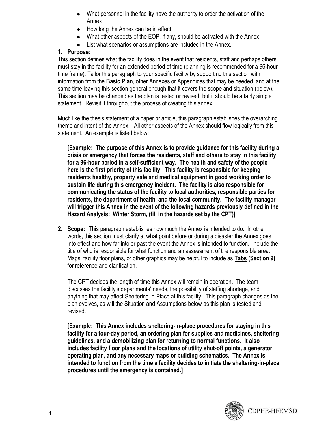- What personnel in the facility have the authority to order the activation of the Annex
- How long the Annex can be in effect
- What other aspects of the EOP, if any, should be activated with the Annex
- List what scenarios or assumptions are included in the Annex.

#### **1. Purpose:**

This section defines what the facility does in the event that residents, staff and perhaps others must stay in the facility for an extended period of time (planning is recommended for a 96-hour time frame). Tailor this paragraph to your specific facility by supporting this section with information from the **Basic Plan**, other Annexes or Appendices that may be needed, and at the same time leaving this section general enough that it covers the scope and situation (below). This section may be changed as the plan is tested or revised, but it should be a fairly simple statement. Revisit it throughout the process of creating this annex.

Much like the thesis statement of a paper or article, this paragraph establishes the overarching theme and intent of the Annex. All other aspects of the Annex should flow logically from this statement. An example is listed below:

**[Example: The purpose of this Annex is to provide guidance for this facility during a crisis or emergency that forces the residents, staff and others to stay in this facility for a 96-hour period in a self-sufficient way. The health and safety of the people here is the first priority of this facility. This facility is responsible for keeping residents healthy, property safe and medical equipment in good working order to sustain life during this emergency incident. The facility is also responsible for communicating the status of the facility to local authorities, responsible parties for residents, the department of health, and the local community. The facility manager will trigger this Annex in the event of the following hazards previously defined in the Hazard Analysis: Winter Storm, (fill in the hazards set by the CPT)]**

**2. Scope:** This paragraph establishes how much the Annex is intended to do. In other words, this section must clarify at what point before or during a disaster the Annex goes into effect and how far into or past the event the Annex is intended to function. Include the title of who is responsible for what function and an assessment of the responsible area. Maps, facility floor plans, or other graphics may be helpful to include as **Tabs (Section 9)** for reference and clarification.

The CPT decides the length of time this Annex will remain in operation. The team discusses the facility"s departments" needs, the possibility of staffing shortage, and anything that may affect Sheltering-in-Place at this facility. This paragraph changes as the plan evolves, as will the Situation and Assumptions below as this plan is tested and revised.

**[Example: This Annex includes sheltering-in-place procedures for staying in this facility for a four-day period, an ordering plan for supplies and medicines, sheltering guidelines, and a demobilizing plan for returning to normal functions. It also includes facility floor plans and the locations of utility shut-off points, a generator operating plan, and any necessary maps or building schematics. The Annex is intended to function from the time a facility decides to initiate the sheltering-in-place procedures until the emergency is contained.]**

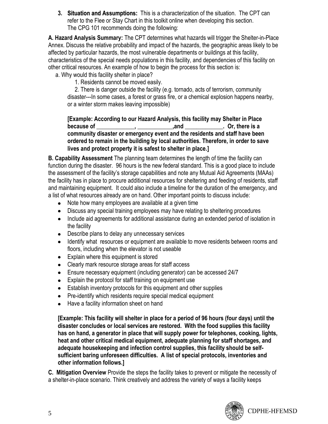**3. Situation and Assumptions:** This is a characterization of the situation. The CPT can refer to the Flee or Stay Chart in this toolkit online when developing this section. The CPG 101 recommends doing the following:

**A. Hazard Analysis Summary:** The CPT determines what hazards will trigger the Shelter-in-Place Annex. Discuss the relative probability and impact of the hazards, the geographic areas likely to be affected by particular hazards, the most vulnerable departments or buildings at this facility, characteristics of the special needs populations in this facility, and dependencies of this facility on other critical resources. An example of how to begin the process for this section is:

a. Why would this facility shelter in place?

1. Residents cannot be moved easily.

2. There is danger outside the facility (e.g. tornado, acts of terrorism, community disaster---In some cases, a forest or grass fire, or a chemical explosion happens nearby, or a winter storm makes leaving impossible)

#### **[Example: According to our Hazard Analysis, this facility may Shelter in Place because of**   $\qquad \qquad$ ,  $\qquad \qquad$  , and  $\qquad \qquad$  . Or, there is a **community disaster or emergency event and the residents and staff have been ordered to remain in the building by local authorities. Therefore, in order to save lives and protect property it is safest to shelter in place.]**

**B. Capability Assessment** The planning team determines the length of time the facility can function during the disaster. 96 hours is the new federal standard. This is a good place to include the assessment of the facility"s storage capabilities and note any Mutual Aid Agreements (MAAs) the facility has in place to procure additional resources for sheltering and feeding of residents, staff and maintaining equipment. It could also include a timeline for the duration of the emergency, and a list of what resources already are on hand. Other important points to discuss include:

- Note how many employees are available at a given time
- Discuss any special training employees may have relating to sheltering procedures
- Include aid agreements for additional assistance during an extended period of isolation in the facility
- Describe plans to delay any unnecessary services
- Identify what resources or equipment are available to move residents between rooms and floors, including when the elevator is not useable
- Explain where this equipment is stored
- Clearly mark resource storage areas for staff access
- Ensure necessary equipment (including generator) can be accessed 24/7
- Explain the protocol for staff training on equipment use
- Establish inventory protocols for this equipment and other supplies
- Pre-identify which residents require special medical equipment
- Have a facility information sheet on hand  $\bullet$

**[Example: This facility will shelter in place for a period of 96 hours (four days) until the disaster concludes or local services are restored. With the food supplies this facility has on hand, a generator in place that will supply power for telephones, cooking, lights, heat and other critical medical equipment, adequate planning for staff shortages, and adequate housekeeping and infection control supplies, this facility should be selfsufficient baring unforeseen difficulties. A list of special protocols, inventories and other information follows.]**

**C. Mitigation Overview** Provide the steps the facility takes to prevent or mitigate the necessity of a shelter-in-place scenario. Think creatively and address the variety of ways a facility keeps

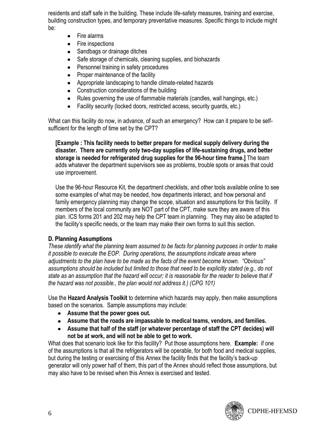residents and staff safe in the building. These include life-safety measures, training and exercise, building construction types, and temporary preventative measures. Specific things to include might be:

- Fire alarms  $\bullet$
- $\bullet$ Fire inspections
- $\bullet$ Sandbags or drainage ditches
- Safe storage of chemicals, cleaning supplies, and biohazards  $\bullet$
- $\bullet$ Personnel training in safety procedures
- Proper maintenance of the facility  $\bullet$
- Appropriate landscaping to handle climate-related hazards  $\bullet$
- $\bullet$ Construction considerations of the building
- $\bullet$ Rules governing the use of flammable materials (candles, wall hangings, etc.)
- Facility security (locked doors, restricted access, security guards, etc.)  $\bullet$

What can this facility do now, in advance, of such an emergency? How can it prepare to be selfsufficient for the length of time set by the CPT?

**[Example : This facility needs to better prepare for medical supply delivery during the disaster. There are currently only two-day supplies of life-sustaining drugs, and better storage is needed for refrigerated drug supplies for the 96-hour time frame.]** The team adds whatever the department supervisors see as problems, trouble spots or areas that could use improvement.

Use the 96-hour Resource Kit, the department checklists, and other tools available online to see some examples of what may be needed, how departments interact, and how personal and family emergency planning may change the scope, situation and assumptions for this facility. If members of the local community are NOT part of the CPT, make sure they are aware of this plan. ICS forms 201 and 202 may help the CPT team in planning. They may also be adapted to the facility"s specific needs, or the team may make their own forms to suit this section.

### **D. Planning Assumptions**

*These identify what the planning team assumed to be facts for planning purposes in order to make it possible to execute the EOP. During operations, the assumptions indicate areas where adjustments to the plan have to be made as the facts of the event become known. "Obvious" assumptions should be included but limited to those that need to be explicitly stated (e.g., do not state as an assumption that the hazard will occur; it is reasonable for the reader to believe that if the hazard was not possible., the plan would not address it.) (CPG 101)*

Use the **Hazard Analysis Toolkit** to determine which hazards may apply, then make assumptions based on the scenarios. Sample assumptions may include:

- **Assume that the power goes out.**
- **Assume that the roads are impassable to medical teams, vendors, and families.**
- **Assume that half of the staff (or whatever percentage of staff the CPT decides) will not be at work, and will not be able to get to work.**

What does that scenario look like for this facility? Put those assumptions here. **Example:** if one of the assumptions is that all the refrigerators will be operable, for both food and medical supplies, but during the testing or exercising of this Annex the facility finds that the facility"s back-up generator will only power half of them, this part of the Annex should reflect those assumptions, but may also have to be revised when this Annex is exercised and tested.

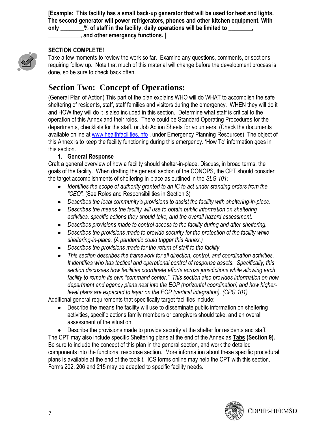**[Example: This facility has a small back-up generator that will be used for heat and lights. The second generator will power refrigerators, phones and other kitchen equipment. With**  only \_\_\_\_\_\_\_% of staff in the facility, daily operations will be limited to \_\_\_\_

**\_\_\_\_\_\_\_\_\_\_\_, and other emergency functions. ]**

#### **SECTION COMPLETE!**

Take a few moments to review the work so far. Examine any questions, comments, or sections requiring follow up. Note that much of this material will change before the development process is done, so be sure to check back often.

# **Section Two: Concept of Operations:**

(General Plan of Action) This part of the plan explains WHO will do WHAT to accomplish the safe sheltering of residents, staff, staff families and visitors during the emergency. WHEN they will do it and HOW they will do it is also included in this section. Determine what staff is critical to the operation of this Annex and their roles. There could be Standard Operating Procedures for the departments, checklists for the staff, or Job Action Sheets for volunteers. (Check the documents available online at [www.healthfacilities.info](http://www.healthfacilities.info/) , under Emergency Planning Resources) The object of this Annex is to keep the facility functioning during this emergency. "How To" information goes in this section.

#### **1. General Response**

Craft a general overview of how a facility should shelter-in-place. Discuss, in broad terms, the goals of the facility. When drafting the general section of the CONOPS, the CPT should consider the target accomplishments of sheltering-in-place as outlined in the *SLG 101:*

- *Identifies the scope of authority granted to an IC to act under standing orders from the "CEO".* (See Roles and Responsibilities in Section 3)
- **•** Describes the local community's provisions to assist the facility with sheltering-in-place.
- *Describes the means the facility will use to obtain public information on sheltering activities, specific actions they should take, and the overall hazard assessment.*
- *Describes provisions made to control access to the facility during and after sheltering.*
- *Describes the provisions made to provide security for the protection of the facility while sheltering-in-place. (A pandemic could trigger this Annex.)*
- *Describes the provisions made for the return of staff to the facility*
- *This section describes the framework for all direction, control, and coordination activities.*   $\bullet$ *It identifies who has tactical and operational control of response assets. Specifically, this section discusses how facilities coordinate efforts across jurisdictions while allowing each facility to remain its own "command center." This section also provides information on how department and agency plans nest into the EOP (horizontal coordination) and how higherlevel plans are expected to layer on the EOP (vertical integration). (CPG 101)*

Additional general requirements that specifically target facilities include:

Describe the means the facility will use to disseminate public information on sheltering activities, specific actions family members or caregivers should take, and an overall assessment of the situation.

Describe the provisions made to provide security at the shelter for residents and staff. The CPT may also include specific Sheltering plans at the end of the Annex as **Tabs (Section 9).** Be sure to include the concept of this plan in the general section, and work the detailed components into the functional response section. More information about these specific procedural plans is available at the end of the toolkit. ICS forms online may help the CPT with this section. Forms 202, 206 and 215 may be adapted to specific facility needs.

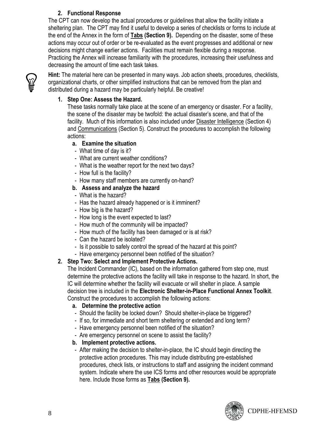### **2. Functional Response**

The CPT can now develop the actual procedures or guidelines that allow the facility initiate a sheltering plan. The CPT may find it useful to develop a series of checklists or forms to include at the end of the Annex in the form of **Tabs (Section 9).** Depending on the disaster, some of these actions may occur out of order or be re-evaluated as the event progresses and additional or new decisions might change earlier actions. Facilities must remain flexible during a response. Practicing the Annex will increase familiarity with the procedures, increasing their usefulness and decreasing the amount of time each task takes.



**Hint:** The material here can be presented in many ways. Job action sheets, procedures, checklists, organizational charts, or other simplified instructions that can be removed from the plan and distributed during a hazard may be particularly helpful. Be creative!

### **1. Step One: Assess the Hazard.**

These tasks normally take place at the scene of an emergency or disaster. For a facility, the scene of the disaster may be twofold: the actual disaster"s scene, and that of the facility. Much of this information is also included under Disaster Intelligence (Section 4) and Communications (Section 5). Construct the procedures to accomplish the following actions:

### **a. Examine the situation**

- What time of day is it?
- What are current weather conditions?
- What is the weather report for the next two days?
- How full is the facility?
- How many staff members are currently on-hand?

### **b. Assess and analyze the hazard**

- What is the hazard?
- Has the hazard already happened or is it imminent?
- How big is the hazard?
- How long is the event expected to last?
- How much of the community will be impacted?
- How much of the facility has been damaged or is at risk?
- Can the hazard be isolated?
- Is it possible to safely control the spread of the hazard at this point?
- Have emergency personnel been notified of the situation?

### **2. Step Two: Select and Implement Protective Actions.**

The Incident Commander (IC), based on the information gathered from step one, must determine the protective actions the facility will take in response to the hazard. In short, the IC will determine whether the facility will evacuate or will shelter in place. A sample decision tree is included in the **Electronic Shelter-in-Place Functional Annex Toolkit**. Construct the procedures to accomplish the following actions:

### **a. Determine the protective action**

- Should the facility be locked down? Should shelter-in-place be triggered?
- If so, for immediate and short term sheltering or extended and long term?
- Have emergency personnel been notified of the situation?
- Are emergency personnel on scene to assist the facility?

### **b. Implement protective actions.**

- After making the decision to shelter-in-place, the IC should begin directing the protective action procedures. This may include distributing pre-established procedures, check lists, or instructions to staff and assigning the incident command system. Indicate where the use ICS forms and other resources would be appropriate here. Include those forms as **Tabs (Section 9).**

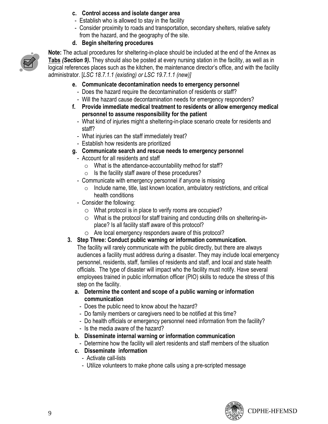### **c. Control access and isolate danger area**

- Establish who is allowed to stay in the facility
- Consider proximity to roads and transportation, secondary shelters, relative safety from the hazard, and the geography of the site.

### **d. Begin sheltering procedures**



**Note:** The actual procedures for sheltering-in-place should be included at the end of the Annex as **Tabs** *(Section 9)***.** They should also be posted at every nursing station in the facility, as well as in logical references places such as the kitchen, the maintenance director's office, and with the facility administrator. [*LSC 18.7.1.1 (existing) or LSC 19.7.1.1 (new)]*

- **e. Communicate decontamination needs to emergency personnel**
	- Does the hazard require the decontamination of residents or staff?
	- Will the hazard cause decontamination needs for emergency responders?
- **f. Provide immediate medical treatment to residents or allow emergency medical personnel to assume responsibility for the patient**
	- What kind of injuries might a sheltering-in-place scenario create for residents and staff?
	- What injuries can the staff immediately treat?
	- Establish how residents are prioritized
- **g. Communicate search and rescue needs to emergency personnel**
- Account for all residents and staff
	- o What is the attendance-accountability method for staff?
	- $\circ$  Is the facility staff aware of these procedures?
- Communicate with emergency personnel if anyone is missing
	- $\circ$  Include name, title, last known location, ambulatory restrictions, and critical health conditions
- Consider the following:
	- o What protocol is in place to verify rooms are occupied?
	- o What is the protocol for staff training and conducting drills on sheltering-inplace? Is all facility staff aware of this protocol?
	- o Are local emergency responders aware of this protocol?
- **3. Step Three: Conduct public warning or information communication.**
	- The facility will rarely communicate with the public directly, but there are always audiences a facility must address during a disaster. They may include local emergency personnel, residents, staff, families of residents and staff, and local and state health officials. The type of disaster will impact who the facility must notify. Have several employees trained in public information officer (PIO) skills to reduce the stress of this step on the facility.
	- **a. Determine the content and scope of a public warning or information communication**
		- Does the public need to know about the hazard?
		- Do family members or caregivers need to be notified at this time?
		- Do health officials or emergency personnel need information from the facility?
		- Is the media aware of the hazard?
	- **b. Disseminate internal warning or information communication**
	- Determine how the facility will alert residents and staff members of the situation
	- **c. Disseminate information** 
		- Activate call-lists
		- Utilize volunteers to make phone calls using a pre-scripted message

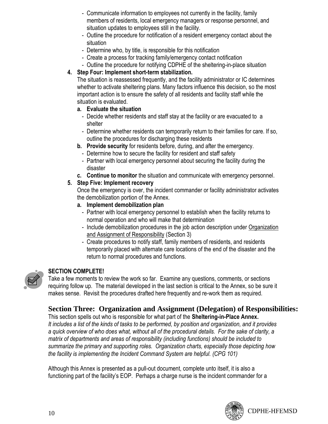- Communicate information to employees not currently in the facility, family members of residents, local emergency managers or response personnel, and situation updates to employees still in the facility.
- Outline the procedure for notification of a resident emergency contact about the situation
- Determine who, by title, is responsible for this notification
- Create a process for tracking family/emergency contact notification
- Outline the procedure for notifying CDPHE of the sheltering-in-place situation

#### **4. Step Four: Implement short-term stabilization.**

The situation is reassessed frequently, and the facility administrator or IC determines whether to activate sheltering plans. Many factors influence this decision, so the most important action is to ensure the safety of all residents and facility staff while the situation is evaluated.

- **a. Evaluate the situation**
	- Decide whether residents and staff stay at the facility or are evacuated to a shelter
	- Determine whether residents can temporarily return to their families for care. If so, outline the procedures for discharging these residents
- **b. Provide security** for residents before, during, and after the emergency.
	- Determine how to secure the facility for resident and staff safety
	- Partner with local emergency personnel about securing the facility during the disaster
- **c. Continue to monitor** the situation and communicate with emergency personnel.

#### **5. Step Five: Implement recovery**

Once the emergency is over, the incident commander or facility administrator activates the demobilization portion of the Annex.

- **a. Implement demobilization plan**
	- Partner with local emergency personnel to establish when the facility returns to normal operation and who will make that determination
	- Include demobilization procedures in the job action description under Organization and Assignment of Responsibility (Section 3)
	- Create procedures to notify staff, family members of residents, and residents temporarily placed with alternate care locations of the end of the disaster and the return to normal procedures and functions.



### **SECTION COMPLETE!**

Take a few moments to review the work so far. Examine any questions, comments, or sections requiring follow up. The material developed in the last section is critical to the Annex, so be sure it makes sense. Revisit the procedures drafted here frequently and re-work them as required.

# **Section Three: Organization and Assignment (Delegation) of Responsibilities:**

This section spells out who is responsible for what part of the **Sheltering-in-Place Annex.**  *It includes a list of the kinds of tasks to be performed, by position and organization, and it provides a quick overview of who does what, without all of the procedural details. For the sake of clarity, a matrix of departments and areas of responsibility (including functions) should be included to summarize the primary and supporting roles. Organization charts, especially those depicting how the facility is implementing the Incident Command System are helpful. (CPG 101)*

Although this Annex is presented as a pull-out document, complete unto itself, it is also a functioning part of the facility"s EOP. Perhaps a charge nurse is the incident commander for a

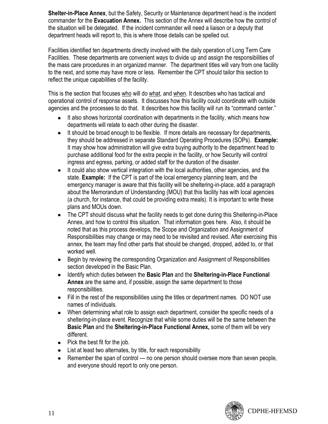**Shelter-in-Place Annex**, but the Safety, Security or Maintenance department head is the incident commander for the **Evacuation Annex.** This section of the Annex will describe how the control of the situation will be delegated. If the incident commander will need a liaison or a deputy that department heads will report to, this is where those details can be spelled out.

Facilities identified ten departments directly involved with the daily operation of Long Term Care Facilities. These departments are convenient ways to divide up and assign the responsibilities of the mass care procedures in an organized manner. The department titles will vary from one facility to the next, and some may have more or less. Remember the CPT should tailor this section to reflect the unique capabilities of the facility.

This is the section that focuses who will do what, and when. It describes who has tactical and operational control of response assets. It discusses how this facility could coordinate with outside agencies and the processes to do that. It describes how this facility will run its "command center."

- It also shows horizontal coordination with departments in the facility, which means how departments will relate to each other during the disaster.
- It should be broad enough to be flexible. If more details are necessary for departments, they should be addressed in separate Standard Operating Procedures (SOPs). **Example:** It may show how administration will give extra buying authority to the department head to purchase additional food for the extra people in the facility, or how Security will control ingress and egress, parking, or added staff for the duration of the disaster.
- $\bullet$ It could also show vertical integration with the local authorities, other agencies, and the state. **Example:** If the CPT is part of the local emergency planning team, and the emergency manager is aware that this facility will be sheltering-in-place, add a paragraph about the Memorandum of Understanding (MOU) that this facility has with local agencies (a church, for instance, that could be providing extra meals). It is important to write these plans and MOUs down.
- The CPT should discuss what the facility needs to get done during this Sheltering-in-Place  $\bullet$ Annex, and how to control this situation. That information goes here. Also, it should be noted that as this process develops, the Scope and Organization and Assignment of Responsibilities may change or may need to be revisited and revised. After exercising this annex, the team may find other parts that should be changed, dropped, added to, or that worked well.
- Begin by reviewing the corresponding Organization and Assignment of Responsibilities section developed in the Basic Plan.
- Identify which duties between the **Basic Plan** and the **Sheltering-in-Place Functional Annex** are the same and, if possible, assign the same department to those responsibilities.
- Fill in the rest of the responsibilities using the titles or department names. DO NOT use names of individuals.
- When determining what role to assign each department, consider the specific needs of a sheltering-in-place event. Recognize that while some duties will be the same between the **Basic Plan** and the **Sheltering-in-Place Functional Annex,** some of them will be very different.
- $\bullet$  Pick the best fit for the job.
- List at least two alternates, by title, for each responsibility
- Remember the span of control --- no one person should oversee more than seven people,  $\bullet$ and everyone should report to only one person.

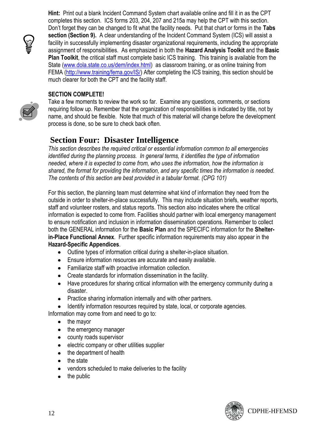**Hint:** Print out a blank Incident Command System chart available online and fill it in as the CPT completes this section. ICS forms 203, 204, 207 and 215a may help the CPT with this section. Don"t forget they can be changed to fit what the facility needs. Put that chart or forms in the **Tabs section (Section 9).** A clear understanding of the Incident Command System (ICS) will assist a facility in successfully implementing disaster organizational requirements, including the appropriate assignment of responsibilities. As emphasized in both the **Hazard Analysis Toolkit** and the **Basic Plan Toolkit**, the critical staff must complete basic ICS training. This training is available from the State [\(www.dola.state.co.us/dem/index.html\)](http://www.dola.state.co.us/dem/index.html) as classroom training, or as online training from FEMA [\(http://www.training/fema.gov/IS/\)](http://www.training/fema.gov/IS/) After completing the ICS training, this section should be much clearer for both the CPT and the facility staff.

#### **SECTION COMPLETE!**



Take a few moments to review the work so far. Examine any questions, comments, or sections requiring follow up. Remember that the organization of responsibilities is indicated by title, not by name, and should be flexible. Note that much of this material will change before the development process is done, so be sure to check back often.

# **Section Four: Disaster Intelligence**

*This section describes the required critical or essential information common to all emergencies identified during the planning process. In general terms, it identifies the type of information needed, where it is expected to come from, who uses the information, how the information is shared, the format for providing the information, and any specific times the information is needed. The contents of this section are best provided in a tabular format. (CPG 101)* 

For this section, the planning team must determine what kind of information they need from the outside in order to shelter-in-place successfully. This may include situation briefs, weather reports, staff and volunteer rosters, and status reports. This section also indicates where the critical information is expected to come from. Facilities should partner with local emergency management to ensure notification and inclusion in information dissemination operations. Remember to collect both the GENERAL information for the **Basic Plan** and the SPECIFC information for the **Shelterin-Place Functional Annex**. Further specific information requirements may also appear in the **Hazard-Specific Appendices**.

- Outline types of information critical during a shelter-in-place situation.
- Ensure information resources are accurate and easily available.
- Familiarize staff with proactive information collection.
- Create standards for information dissemination in the facility.
- Have procedures for sharing critical information with the emergency community during a disaster.
- Practice sharing information internally and with other partners.
- Identify information resources required by state, local, or corporate agencies.

Information may come from and need to go to:

- the mayor
- $\bullet$ the emergency manager
- county roads supervisor
- electric company or other utilities supplier  $\bullet$
- $\bullet$ the department of health
- the state  $\bullet$
- vendors scheduled to make deliveries to the facility
- the public $\bullet$

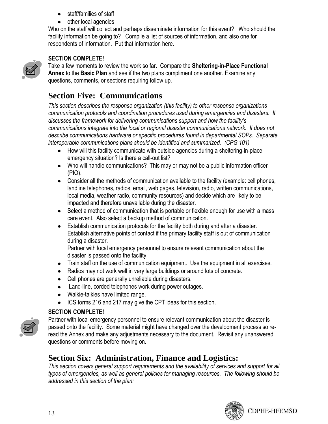- staff/families of staff
- other local agencies

Who on the staff will collect and perhaps disseminate information for this event? Who should the facility information be going to? Compile a list of sources of information, and also one for respondents of information. Put that information here.



# **SECTION COMPLETE!**

Take a few moments to review the work so far. Compare the **Sheltering-in-Place Functional Annex** to the **Basic Plan** and see if the two plans compliment one another. Examine any questions, comments, or sections requiring follow up.

# **Section Five: Communications**

*This section describes the response organization (this facility) to other response organizations communication protocols and coordination procedures used during emergencies and disasters. It discusses the framework for delivering communications support and how the facility's communications integrate into the local or regional disaster communications network. It does not describe communications hardware or specific procedures found in departmental SOPs. Separate interoperable communications plans should be identified and summarized. (CPG 101)* 

- How will this facility communicate with outside agencies during a sheltering-in-place emergency situation? Is there a call-out list?
- Who will handle communications? This may or may not be a public information officer (PIO).
- Consider all the methods of communication available to the facility (example: cell phones, landline telephones, radios, email, web pages, television, radio, written communications, local media, weather radio, community resources) and decide which are likely to be impacted and therefore unavailable during the disaster.
- Select a method of communication that is portable or flexible enough for use with a mass care event. Also select a backup method of communication.
- Establish communication protocols for the facility both during and after a disaster. Establish alternative points of contact if the primary facility staff is out of communication during a disaster.

Partner with local emergency personnel to ensure relevant communication about the disaster is passed onto the facility.

- Train staff on the use of communication equipment. Use the equipment in all exercises.
- Radios may not work well in very large buildings or around lots of concrete.
- Cell phones are generally unreliable during disasters.
- Land-line, corded telephones work during power outages.
- Walkie-talkies have limited range.  $\bullet$
- ICS forms 216 and 217 may give the CPT ideas for this section.  $\bullet$

# **SECTION COMPLETE!**



Partner with local emergency personnel to ensure relevant communication about the disaster is passed onto the facility. Some material might have changed over the development process so reread the Annex and make any adjustments necessary to the document. Revisit any unanswered questions or comments before moving on.

# **Section Six: Administration, Finance and Logistics:**

*This section covers general support requirements and the availability of services and support for all types of emergencies, as well as general policies for managing resources. The following should be addressed in this section of the plan:*

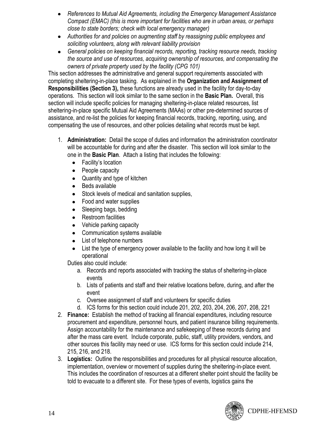- *References to Mutual Aid Agreements, including the Emergency Management Assistance*   $\bullet$ *Compact (EMAC) (this is more important for facilities who are in urban areas, or perhaps close to state borders; check with local emergency manager)*
- *Authorities for and policies on augmenting staff by reassigning public employees and soliciting volunteers, along with relevant liability provision*
- *General policies on keeping financial records, reporting, tracking resource needs, tracking the source and use of resources, acquiring ownership of resources, and compensating the owners of private property used by the facility (CPG 101)*

This section addresses the administrative and general support requirements associated with completing sheltering-in-place tasking. As explained in the **Organization and Assignment of Responsibilities (Section 3),** these functions are already used in the facility for day-to-day operations. This section will look similar to the same section in the **Basic Plan.** Overall, this section will include specific policies for managing sheltering-in-place related resources, list sheltering-in-place specific Mutual Aid Agreements (MAAs) or other pre-determined sources of assistance, and re-list the policies for keeping financial records, tracking, reporting, using, and compensating the use of resources, and other policies detailing what records must be kept.

- 1. **Administration:** Detail the scope of duties and information the administration coordinator will be accountable for during and after the disaster. This section will look similar to the one in the **Basic Plan**. Attach a listing that includes the following:
	- Facility's location
	- People capacity
	- Quantity and type of kitchen
	- Beds available
	- Stock levels of medical and sanitation supplies,
	- Food and water supplies
	- Sleeping bags, bedding
	- Restroom facilities
	- Vehicle parking capacity
	- Communication systems available
	- List of telephone numbers
	- List the type of emergency power available to the facility and how long it will be operational

Duties also could include:

- a. Records and reports associated with tracking the status of sheltering-in-place events
- b. Lists of patients and staff and their relative locations before, during, and after the event
- c. Oversee assignment of staff and volunteers for specific duties
- d. ICS forms for this section could include 201, 202, 203, 204, 206, 207, 208, 221
- 2. **Finance:** Establish the method of tracking all financial expenditures, including resource procurement and expenditure, personnel hours, and patient insurance billing requirements. Assign accountability for the maintenance and safekeeping of these records during and after the mass care event. Include corporate, public, staff, utility providers, vendors, and other sources this facility may need or use. ICS forms for this section could include 214, 215, 216, and 218.
- 3. **Logistics:** Outline the responsibilities and procedures for all physical resource allocation, implementation, overview or movement of supplies during the sheltering-in-place event. This includes the coordination of resources at a different shelter point should the facility be told to evacuate to a different site. For these types of events, logistics gains the

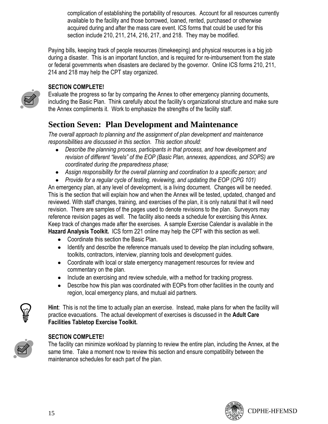complication of establishing the portability of resources. Account for all resources currently available to the facility and those borrowed, loaned, rented, purchased or otherwise acquired during and after the mass care event. ICS forms that could be used for this section include 210, 211, 214, 216, 217, and 218. They may be modified.

Paying bills, keeping track of people resources (timekeeping) and physical resources is a big job during a disaster. This is an important function, and is required for re-imbursement from the state or federal governments when disasters are declared by the governor. Online ICS forms 210, 211, 214 and 218 may help the CPT stay organized.

# **SECTION COMPLETE!**

Evaluate the progress so far by comparing the Annex to other emergency planning documents, including the Basic Plan. Think carefully about the facility"s organizational structure and make sure the Annex compliments it. Work to emphasize the strengths of the facility staff.

# **Section Seven: Plan Development and Maintenance**

*The overall approach to planning and the assignment of plan development and maintenance responsibilities are discussed in this section. This section should:*

- *Describe the planning process, participants in that process, and how development and*   $\bullet$ *revision of different "levels" of the EOP (Basic Plan, annexes, appendices, and SOPS) are coordinated during the preparedness phase;*
- *Assign responsibility for the overall planning and coordination to a specific person; and*

*Provide for a regular cycle of testing, reviewing, and updating the EOP (CPG 101)*  An emergency plan, at any level of development, is a living document. Changes will be needed. This is the section that will explain how and when the Annex will be tested, updated, changed and reviewed. With staff changes, training, and exercises of the plan, it is only natural that it will need revision. There are samples of the pages used to denote revisions to the plan. Surveyors may reference revision pages as well. The facility also needs a schedule for exercising this Annex. Keep track of changes made after the exercises. A sample Exercise Calendar is available in the **Hazard Analysis Toolkit.** ICS form 221 online may help the CPT with this section as well.

- Coordinate this section the Basic Plan.
- Identify and describe the reference manuals used to develop the plan including software, toolkits, contractors, interview, planning tools and development guides.
- Coordinate with local or state emergency management resources for review and commentary on the plan.
- $\bullet$  Include an exercising and review schedule, with a method for tracking progress.
- Describe how this plan was coordinated with EOPs from other facilities in the county and region, local emergency plans, and mutual aid partners.

**Hint**: This is not the time to actually plan an exercise. Instead, make plans for when the facility will practice evacuations. The actual development of exercises is discussed in the **Adult Care Facilities Tabletop Exercise Toolkit.**

#### **SECTION COMPLETE!**

The facility can minimize workload by planning to review the entire plan, including the Annex, at the same time. Take a moment now to review this section and ensure compatibility between the maintenance schedules for each part of the plan.





**AIRS**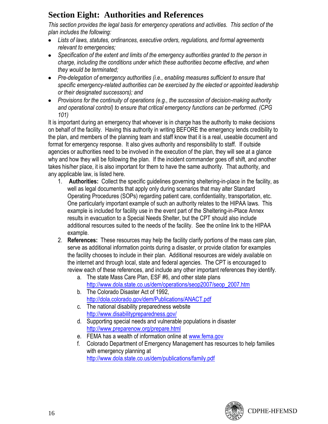# **Section Eight: Authorities and References**

*This section provides the legal basis for emergency operations and activities. This section of the plan includes the following:*

- *Lists of laws, statutes, ordinances, executive orders, regulations, and formal agreements relevant to emergencies;*
- *Specification of the extent and limits of the emergency authorities granted to the person in charge, including the conditions under which these authorities become effective, and when they would be terminated;*
- *Pre-delegation of emergency authorities (i.e., enabling measures sufficient to ensure that specific emergency-related authorities can be exercised by the elected or appointed leadership or their designated successors); and*
- *Provisions for the continuity of operations (e.g., the succession of decision-making authority and operational control) to ensure that critical emergency functions can be performed. (CPG 101)*

It is important during an emergency that whoever is in charge has the authority to make decisions on behalf of the facility. Having this authority in writing BEFORE the emergency lends credibility to the plan, and members of the planning team and staff know that it is a real, useable document and format for emergency response. It also gives authority and responsibility to staff. If outside agencies or authorities need to be involved in the execution of the plan, they will see at a glance why and how they will be following the plan. If the incident commander goes off shift, and another takes his/her place, it is also important for them to have the same authority. That authority, and any applicable law, is listed here.

- 1. **Authorities:** Collect the specific guidelines governing sheltering-in-place in the facility, as well as legal documents that apply only during scenarios that may alter Standard Operating Procedures (SOPs) regarding patient care, confidentiality, transportation, etc. One particularly important example of such an authority relates to the HIPAA laws. This example is included for facility use in the event part of the Sheltering-in-Place Annex results in evacuation to a Special Needs Shelter, but the CPT should also include additional resources suited to the needs of the facility. See the online link to the HIPAA example.
- 2. **References:** These resources may help the facility clarify portions of the mass care plan, serve as additional information points during a disaster, or provide citation for examples the facility chooses to include in their plan. Additional resources are widely available on the internet and through local, state and federal agencies. The CPT is encouraged to review each of these references, and include any other important references they identify.
	- a. The state Mass Care Plan, ESF #6, and other state plans [http://www.dola.state.co.us/dem/operations/seop2007/seop\\_2007.htm](http://www.dola.state.co.us/dem/operations/seop2007/seop_2007.htm)
	- b. The Colorado Disaster Act of 1992, <http://dola.colorado.gov/dem/Publications/ANACT.pdf>
	- c. The national disability preparedness website <http://www.disabilitypreparedness.gov/>
	- d. Supporting special needs and vulnerable populations in disaster <http://www.preparenow.org/prepare.html>
	- e. FEMA has a wealth of information online at [www.fema.gov](http://www.fema.gov/)
	- f. Colorado Department of Emergency Management has resources to help families with emergency planning at <http://www.dola.state.co.us/dem/publications/family.pdf>

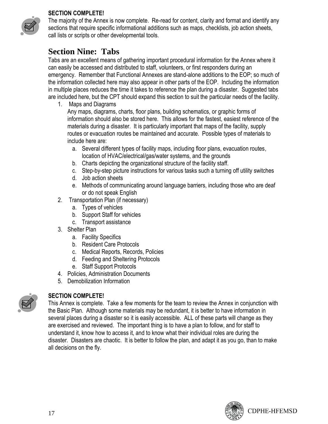### **SECTION COMPLETE!**



# **Section Nine: Tabs**

Tabs are an excellent means of gathering important procedural information for the Annex where it can easily be accessed and distributed to staff, volunteers, or first responders during an emergency. Remember that Functional Annexes are stand-alone additions to the EOP; so much of the information collected here may also appear in other parts of the EOP. Including the information in multiple places reduces the time it takes to reference the plan during a disaster. Suggested tabs are included here, but the CPT should expand this section to suit the particular needs of the facility.

1. Maps and Diagrams

Any maps, diagrams, charts, floor plans, building schematics, or graphic forms of information should also be stored here. This allows for the fastest, easiest reference of the materials during a disaster. It is particularly important that maps of the facility, supply routes or evacuation routes be maintained and accurate. Possible types of materials to include here are:

- a. Several different types of facility maps, including floor plans, evacuation routes, location of HVAC/electrical/gas/water systems, and the grounds
- b. Charts depicting the organizational structure of the facility staff.
- c. Step-by-step picture instructions for various tasks such a turning off utility switches
- d. Job action sheets
- e. Methods of communicating around language barriers, including those who are deaf or do not speak English
- 2. Transportation Plan (if necessary)
	- a. Types of vehicles
	- b. Support Staff for vehicles
	- c. Transport assistance
- 3. Shelter Plan
	- a. Facility Specifics
	- b. Resident Care Protocols
	- c. Medical Reports, Records, Policies
	- d. Feeding and Sheltering Protocols
	- e. Staff Support Protocols
- 4. Policies, Administration Documents
- 5. Demobilization Information



# **SECTION COMPLETE!**

This Annex is complete. Take a few moments for the team to review the Annex in conjunction with the Basic Plan. Although some materials may be redundant, it is better to have information in several places during a disaster so it is easily accessible. ALL of these parts will change as they are exercised and reviewed. The important thing is to have a plan to follow, and for staff to understand it, know how to access it, and to know what their individual roles are during the disaster. Disasters are chaotic. It is better to follow the plan, and adapt it as you go, than to make all decisions on the fly.